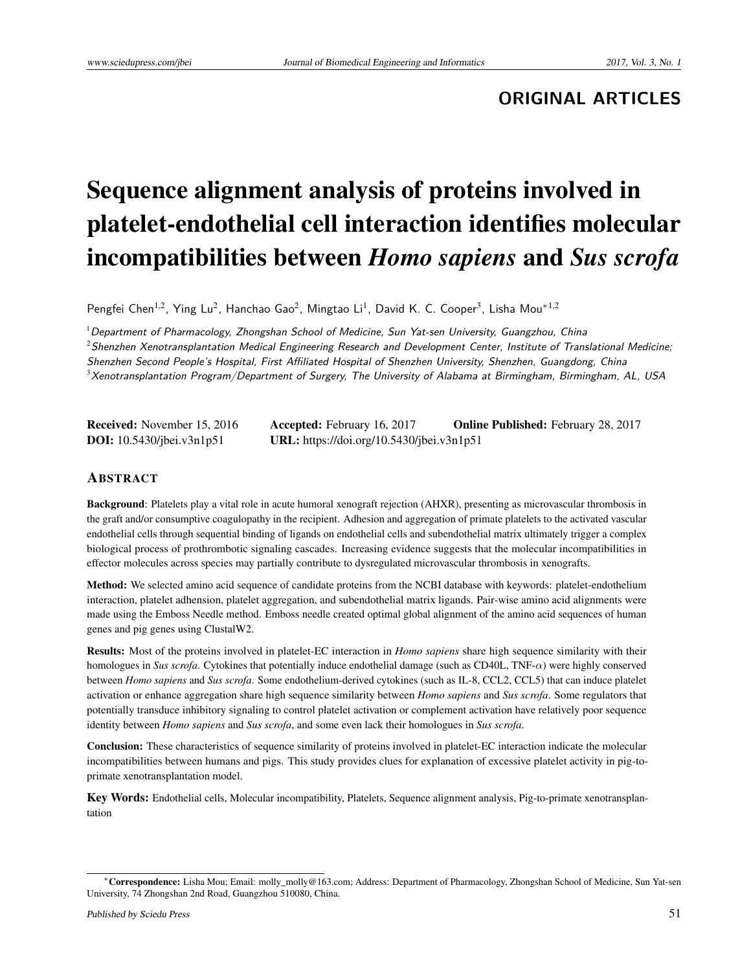# **ORIGINAL ARTICLES**

# Sequence alignment analysis of proteins involved in platelet-endothelial cell interaction identifies molecular incompatibilities between *Homo sapiens* and *Sus scrofa*

Pengfei Chen<sup>1,2</sup>, Ying Lu<sup>2</sup>, Hanchao Gao<sup>2</sup>, Mingtao Li<sup>1</sup>, David K. C. Cooper<sup>3</sup>, Lisha Mou<sup>\*1,2</sup>

 $1$ Department of Pharmacology, Zhongshan School of Medicine, Sun Yat-sen University, Guangzhou, China

 $2$ Shenzhen Xenotransplantation Medical Engineering Research and Development Center, Institute of Translational Medicine;

Shenzhen Second People's Hospital, First Affiliated Hospital of Shenzhen University, Shenzhen, Guangdong, China

 $3$ Xenotransplantation Program/Department of Surgery, The University of Alabama at Birmingham, Birmingham, AL, USA

| <b>Received:</b> November 15, 2016 | <b>Accepted:</b> February 16, 2017        | <b>Online Published:</b> February 28, 2017 |
|------------------------------------|-------------------------------------------|--------------------------------------------|
| <b>DOI:</b> 10.5430/jbei.v3n1p51   | URL: https://doi.org/10.5430/jbei.v3n1p51 |                                            |

#### ABSTRACT

Background: Platelets play a vital role in acute humoral xenograft rejection (AHXR), presenting as microvascular thrombosis in the graft and/or consumptive coagulopathy in the recipient. Adhesion and aggregation of primate platelets to the activated vascular endothelial cells through sequential binding of ligands on endothelial cells and subendothelial matrix ultimately trigger a complex biological process of prothrombotic signaling cascades. Increasing evidence suggests that the molecular incompatibilities in effector molecules across species may partially contribute to dysregulated microvascular thrombosis in xenografts.

Method: We selected amino acid sequence of candidate proteins from the NCBI database with keywords: platelet-endothelium interaction, platelet adhension, platelet aggregation, and subendothelial matrix ligands. Pair-wise amino acid alignments were made using the Emboss Needle method. Emboss needle created optimal global alignment of the amino acid sequences of human genes and pig genes using ClustalW2.

Results: Most of the proteins involved in platelet-EC interaction in *Homo sapiens* share high sequence similarity with their homologues in *Sus scrofa*. Cytokines that potentially induce endothelial damage (such as CD40L, TNF-*α*) were highly conserved between *Homo sapiens* and *Sus scrofa*. Some endothelium-derived cytokines (such as IL-8, CCL2, CCL5) that can induce platelet activation or enhance aggregation share high sequence similarity between *Homo sapiens* and *Sus scrofa*. Some regulators that potentially transduce inhibitory signaling to control platelet activation or complement activation have relatively poor sequence identity between *Homo sapiens* and *Sus scrofa*, and some even lack their homologues in *Sus scrofa*.

Conclusion: These characteristics of sequence similarity of proteins involved in platelet-EC interaction indicate the molecular incompatibilities between humans and pigs. This study provides clues for explanation of excessive platelet activity in pig-toprimate xenotransplantation model.

Key Words: Endothelial cells, Molecular incompatibility, Platelets, Sequence alignment analysis, Pig-to-primate xenotransplantation

<sup>\*</sup>Correspondence: Lisha Mou; Email: molly\_molly@163.com; Address: Department of Pharmacology, Zhongshan School of Medicine, Sun Yat-sen University, 74 Zhongshan 2nd Road, Guangzhou 510080, China.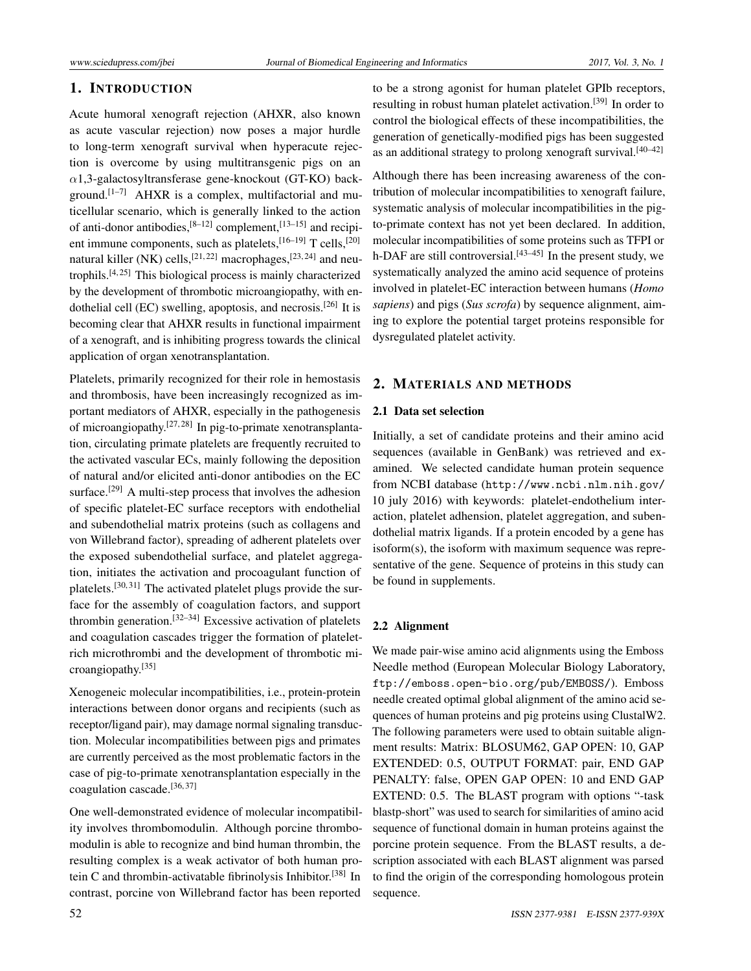#### 1. INTRODUCTION

Acute humoral xenograft rejection (AHXR, also known as acute vascular rejection) now poses a major hurdle to long-term xenograft survival when hyperacute rejection is overcome by using multitransgenic pigs on an *α*1,3-galactosyltransferase gene-knockout (GT-KO) back-ground.<sup>[\[1](#page-8-0)[–7\]](#page-8-1)</sup> AHXR is a complex, multifactorial and muticellular scenario, which is generally linked to the action of anti-donor antibodies, <sup>[\[8](#page-8-2)-12]</sup> complement, <sup>[13-[15\]](#page-9-0)</sup> and recipi-ent immune components, such as platelets, [\[16](#page-9-1)-19] T cells, [\[20\]](#page-9-3) natural killer (NK) cells,  $[21, 22]$  $[21, 22]$  $[21, 22]$  macrophages,  $[23, 24]$  $[23, 24]$  $[23, 24]$  and neutrophils. $[4, 25]$  $[4, 25]$  $[4, 25]$  This biological process is mainly characterized by the development of thrombotic microangiopathy, with en-dothelial cell (EC) swelling, apoptosis, and necrosis.<sup>[\[26\]](#page-9-9)</sup> It is becoming clear that AHXR results in functional impairment of a xenograft, and is inhibiting progress towards the clinical application of organ xenotransplantation.

Platelets, primarily recognized for their role in hemostasis and thrombosis, have been increasingly recognized as important mediators of AHXR, especially in the pathogenesis of microangiopathy.<sup>[\[27,](#page-9-10) [28\]](#page-9-11)</sup> In pig-to-primate xenotransplantation, circulating primate platelets are frequently recruited to the activated vascular ECs, mainly following the deposition of natural and/or elicited anti-donor antibodies on the EC surface.<sup>[\[29\]](#page-9-12)</sup> A multi-step process that involves the adhesion of specific platelet-EC surface receptors with endothelial and subendothelial matrix proteins (such as collagens and von Willebrand factor), spreading of adherent platelets over the exposed subendothelial surface, and platelet aggregation, initiates the activation and procoagulant function of platelets.<sup>[\[30,](#page-9-13) [31\]](#page-9-14)</sup> The activated platelet plugs provide the surface for the assembly of coagulation factors, and support thrombin generation.<sup>[\[32](#page-9-15)[–34\]](#page-9-16)</sup> Excessive activation of platelets and coagulation cascades trigger the formation of plateletrich microthrombi and the development of thrombotic microangiopathy.[\[35\]](#page-9-17)

Xenogeneic molecular incompatibilities, i.e., protein-protein interactions between donor organs and recipients (such as receptor/ligand pair), may damage normal signaling transduction. Molecular incompatibilities between pigs and primates are currently perceived as the most problematic factors in the case of pig-to-primate xenotransplantation especially in the coagulation cascade.[\[36,](#page-9-18) [37\]](#page-9-19)

One well-demonstrated evidence of molecular incompatibility involves thrombomodulin. Although porcine thrombomodulin is able to recognize and bind human thrombin, the resulting complex is a weak activator of both human pro-tein C and thrombin-activatable fibrinolysis Inhibitor.<sup>[\[38\]](#page-9-20)</sup> In contrast, porcine von Willebrand factor has been reported

to be a strong agonist for human platelet GPIb receptors, resulting in robust human platelet activation.<sup>[\[39\]](#page-9-21)</sup> In order to control the biological effects of these incompatibilities, the generation of genetically-modified pigs has been suggested as an additional strategy to prolong xenograft survival.  $[40-42]$  $[40-42]$ 

Although there has been increasing awareness of the contribution of molecular incompatibilities to xenograft failure, systematic analysis of molecular incompatibilities in the pigto-primate context has not yet been declared. In addition, molecular incompatibilities of some proteins such as TFPI or h-DAF are still controversial.  $[43-45]$  $[43-45]$  In the present study, we systematically analyzed the amino acid sequence of proteins involved in platelet-EC interaction between humans (*Homo sapiens*) and pigs (*Sus scrofa*) by sequence alignment, aiming to explore the potential target proteins responsible for dysregulated platelet activity.

## 2. MATERIALS AND METHODS

#### 2.1 Data set selection

Initially, a set of candidate proteins and their amino acid sequences (available in GenBank) was retrieved and examined. We selected candidate human protein sequence from NCBI database (<http://www.ncbi.nlm.nih.gov/> 10 july 2016) with keywords: platelet-endothelium interaction, platelet adhension, platelet aggregation, and subendothelial matrix ligands. If a protein encoded by a gene has isoform(s), the isoform with maximum sequence was representative of the gene. Sequence of proteins in this study can be found in supplements.

# 2.2 Alignment

We made pair-wise amino acid alignments using the Emboss Needle method (European Molecular Biology Laboratory, <ftp://emboss.open-bio.org/pub/EMBOSS/>). Emboss needle created optimal global alignment of the amino acid sequences of human proteins and pig proteins using ClustalW2. The following parameters were used to obtain suitable alignment results: Matrix: BLOSUM62, GAP OPEN: 10, GAP EXTENDED: 0.5, OUTPUT FORMAT: pair, END GAP PENALTY: false, OPEN GAP OPEN: 10 and END GAP EXTEND: 0.5. The BLAST program with options "-task blastp-short" was used to search for similarities of amino acid sequence of functional domain in human proteins against the porcine protein sequence. From the BLAST results, a description associated with each BLAST alignment was parsed to find the origin of the corresponding homologous protein sequence.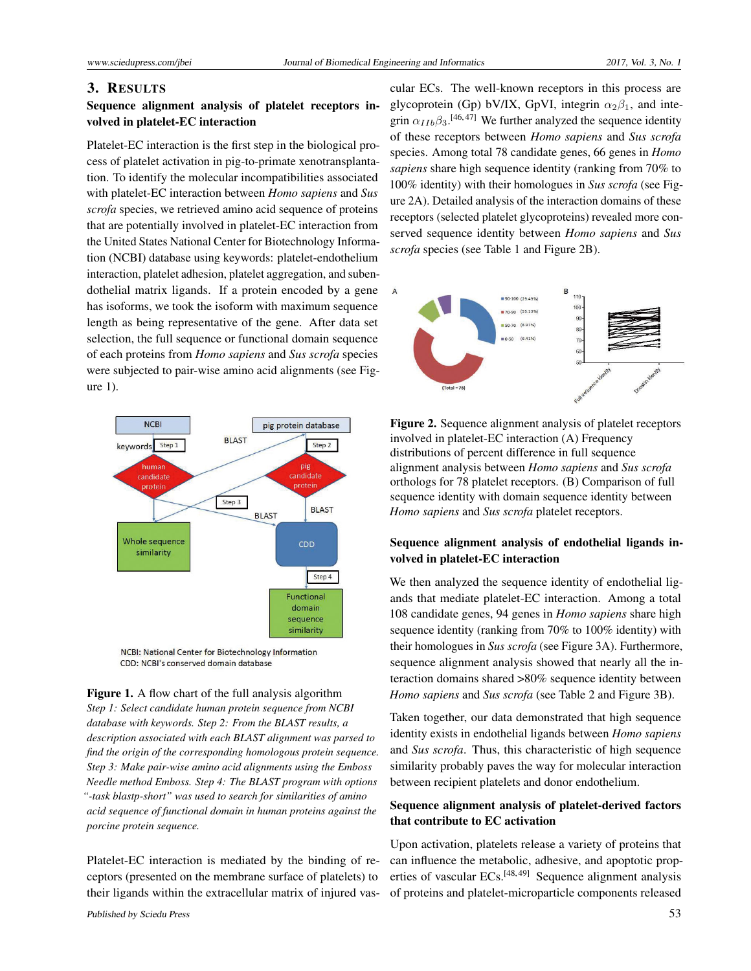#### 3. RESULTS

#### Sequence alignment analysis of platelet receptors involved in platelet-EC interaction

Platelet-EC interaction is the first step in the biological process of platelet activation in pig-to-primate xenotransplantation. To identify the molecular incompatibilities associated with platelet-EC interaction between *Homo sapiens* and *Sus scrofa* species, we retrieved amino acid sequence of proteins that are potentially involved in platelet-EC interaction from the United States National Center for Biotechnology Information (NCBI) database using keywords: platelet-endothelium interaction, platelet adhesion, platelet aggregation, and subendothelial matrix ligands. If a protein encoded by a gene has isoforms, we took the isoform with maximum sequence length as being representative of the gene. After data set selection, the full sequence or functional domain sequence of each proteins from *Homo sapiens* and *Sus scrofa* species were subjected to pair-wise amino acid alignments (see Figure 1).



NCBI: National Center for Biotechnology Information CDD: NCBI's conserved domain database

Figure 1. A flow chart of the full analysis algorithm *Step 1: Select candidate human protein sequence from NCBI database with keywords. Step 2: From the BLAST results, a description associated with each BLAST alignment was parsed to find the origin of the corresponding homologous protein sequence. Step 3: Make pair-wise amino acid alignments using the Emboss Needle method Emboss. Step 4: The BLAST program with options "-task blastp-short" was used to search for similarities of amino acid sequence of functional domain in human proteins against the porcine protein sequence.*

Platelet-EC interaction is mediated by the binding of receptors (presented on the membrane surface of platelets) to their ligands within the extracellular matrix of injured vas-

cular ECs. The well-known receptors in this process are glycoprotein (Gp) bV/IX, GpVI, integrin  $\alpha_2\beta_1$ , and integrin  $\alpha_{IIb}\beta_3$ .<sup>[\[46,](#page-10-1)[47\]](#page-10-2)</sup> We further analyzed the sequence identity of these receptors between *Homo sapiens* and *Sus scrofa* species. Among total 78 candidate genes, 66 genes in *Homo sapiens* share high sequence identity (ranking from 70% to 100% identity) with their homologues in *Sus scrofa* (see Figure 2A). Detailed analysis of the interaction domains of these receptors (selected platelet glycoproteins) revealed more conserved sequence identity between *Homo sapiens* and *Sus scrofa* species (see Table 1 and Figure 2B).





#### Sequence alignment analysis of endothelial ligands involved in platelet-EC interaction

We then analyzed the sequence identity of endothelial ligands that mediate platelet-EC interaction. Among a total 108 candidate genes, 94 genes in *Homo sapiens* share high sequence identity (ranking from 70% to 100% identity) with their homologues in *Sus scrofa* (see Figure 3A). Furthermore, sequence alignment analysis showed that nearly all the interaction domains shared >80% sequence identity between *Homo sapiens* and *Sus scrofa* (see Table 2 and Figure 3B).

Taken together, our data demonstrated that high sequence identity exists in endothelial ligands between *Homo sapiens* and *Sus scrofa*. Thus, this characteristic of high sequence similarity probably paves the way for molecular interaction between recipient platelets and donor endothelium.

#### Sequence alignment analysis of platelet-derived factors that contribute to EC activation

Upon activation, platelets release a variety of proteins that can influence the metabolic, adhesive, and apoptotic properties of vascular ECs.[\[48,](#page-10-3) [49\]](#page-10-4) Sequence alignment analysis of proteins and platelet-microparticle components released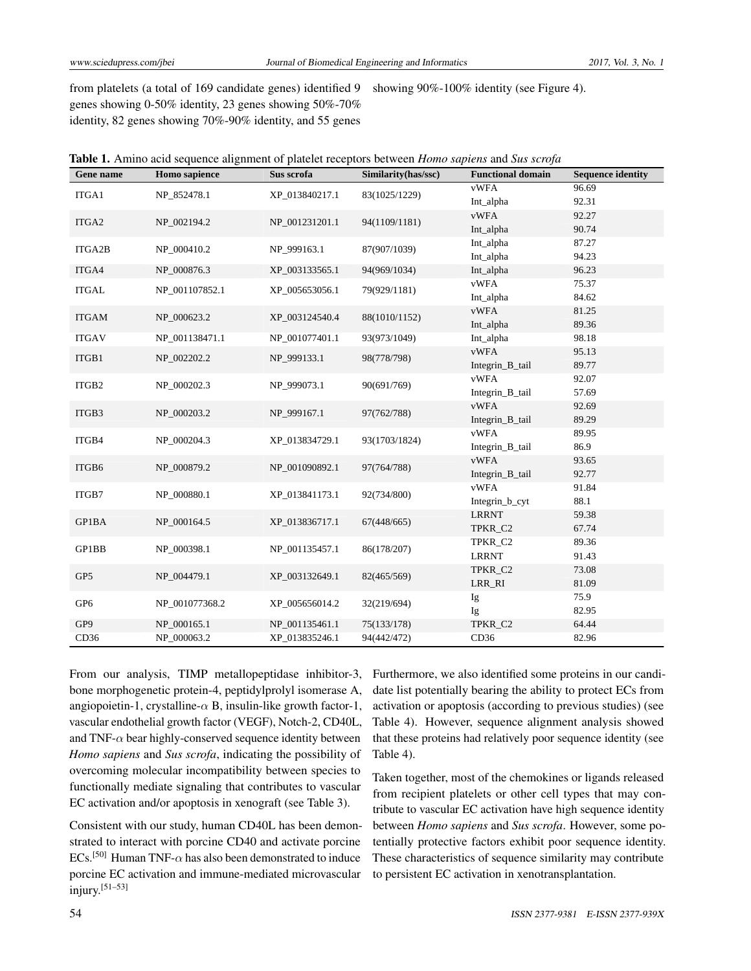from platelets (a total of 169 candidate genes) identified 9 genes showing 0-50% identity, 23 genes showing 50%-70% identity, 82 genes showing 70%-90% identity, and 55 genes showing 90%-100% identity (see Figure 4).

| Gene name       | <b>Homo</b> sapience | Sus scrofa     | Similarity(has/ssc) | <b>Functional domain</b> | <b>Sequence identity</b> |
|-----------------|----------------------|----------------|---------------------|--------------------------|--------------------------|
| ITGA1           | NP_852478.1          | XP_013840217.1 | 83(1025/1229)       | <b>vWFA</b>              | 96.69                    |
|                 |                      |                |                     | Int_alpha                | 92.31                    |
| ITGA2           | NP_002194.2          | NP_001231201.1 | 94(1109/1181)       | <b>vWFA</b>              | 92.27                    |
|                 |                      |                |                     | Int_alpha                | 90.74                    |
| ITGA2B          | NP_000410.2          | NP_999163.1    | 87(907/1039)        | Int_alpha                | 87.27                    |
|                 |                      |                |                     | Int_alpha                | 94.23                    |
| ITGA4           | NP 000876.3          | XP 003133565.1 | 94(969/1034)        | Int_alpha                | 96.23                    |
| <b>ITGAL</b>    | NP_001107852.1       | XP_005653056.1 | 79(929/1181)        | <b>vWFA</b>              | 75.37                    |
|                 |                      |                |                     | Int_alpha                | 84.62                    |
| <b>ITGAM</b>    | NP_000623.2          | XP_003124540.4 | 88(1010/1152)       | <b>vWFA</b>              | 81.25                    |
|                 |                      |                |                     | Int_alpha                | 89.36                    |
| <b>ITGAV</b>    | NP 001138471.1       | NP 001077401.1 | 93(973/1049)        | Int_alpha<br><b>vWFA</b> | 98.18                    |
| ITGB1           | NP 002202.2          | NP 999133.1    | 98(778/798)         | Integrin_B_tail          | 95.13<br>89.77           |
|                 |                      |                |                     | <b>vWFA</b>              | 92.07                    |
| ITGB2           | NP_000202.3          | NP 999073.1    | 90(691/769)         | Integrin_B_tail          | 57.69                    |
|                 |                      |                |                     | <b>vWFA</b>              | 92.69                    |
| ITGB3           | NP_000203.2          | NP_999167.1    | 97(762/788)         | Integrin_B_tail          | 89.29                    |
|                 |                      |                |                     | <b>vWFA</b>              | 89.95                    |
| ITGB4           | NP_000204.3          | XP_013834729.1 | 93(1703/1824)       | Integrin_B_tail          | 86.9                     |
|                 |                      |                |                     | <b>vWFA</b>              | 93.65                    |
| ITGB6           | NP_000879.2          | NP_001090892.1 | 97(764/788)         | Integrin_B_tail          | 92.77                    |
|                 |                      |                |                     | <b>vWFA</b>              | 91.84                    |
| ITGB7           | NP_000880.1          | XP_013841173.1 | 92(734/800)         | Integrin_b_cyt           | 88.1                     |
| GP1BA           | NP_000164.5          | XP_013836717.1 | 67(448/665)         | <b>LRRNT</b>             | 59.38                    |
|                 |                      |                |                     | TPKR_C2                  | 67.74                    |
| GP1BB           | NP_000398.1          | NP_001135457.1 | 86(178/207)         | TPKR_C2                  | 89.36                    |
|                 |                      |                |                     | <b>LRRNT</b>             | 91.43                    |
| GP5             | NP_004479.1          | XP_003132649.1 | 82(465/569)         | TPKR_C2                  | 73.08                    |
|                 |                      |                |                     | LRR_RI                   | 81.09                    |
| GP <sub>6</sub> | NP_001077368.2       | XP_005656014.2 | 32(219/694)         | Ig                       | 75.9                     |
|                 |                      |                |                     | Ig                       | 82.95                    |
| GP9             | NP 000165.1          | NP_001135461.1 | 75(133/178)         | TPKR C2                  | 64.44                    |
| CD36            | NP_000063.2          | XP_013835246.1 | 94(442/472)         | CD36                     | 82.96                    |

From our analysis, TIMP metallopeptidase inhibitor-3, bone morphogenetic protein-4, peptidylprolyl isomerase A, angiopoietin-1, crystalline- $\alpha$  B, insulin-like growth factor-1, vascular endothelial growth factor (VEGF), Notch-2, CD40L, and TNF- $\alpha$  bear highly-conserved sequence identity between *Homo sapiens* and *Sus scrofa*, indicating the possibility of overcoming molecular incompatibility between species to functionally mediate signaling that contributes to vascular EC activation and/or apoptosis in xenograft (see Table 3).

Consistent with our study, human CD40L has been demonstrated to interact with porcine CD40 and activate porcine ECs.<sup>[\[50\]](#page-10-5)</sup> Human TNF- $\alpha$  has also been demonstrated to induce porcine EC activation and immune-mediated microvascular injury.[\[51–](#page-10-6)[53\]](#page-10-7)

Furthermore, we also identified some proteins in our candidate list potentially bearing the ability to protect ECs from activation or apoptosis (according to previous studies) (see Table 4). However, sequence alignment analysis showed that these proteins had relatively poor sequence identity (see Table 4).

Taken together, most of the chemokines or ligands released from recipient platelets or other cell types that may contribute to vascular EC activation have high sequence identity between *Homo sapiens* and *Sus scrofa*. However, some potentially protective factors exhibit poor sequence identity. These characteristics of sequence similarity may contribute to persistent EC activation in xenotransplantation.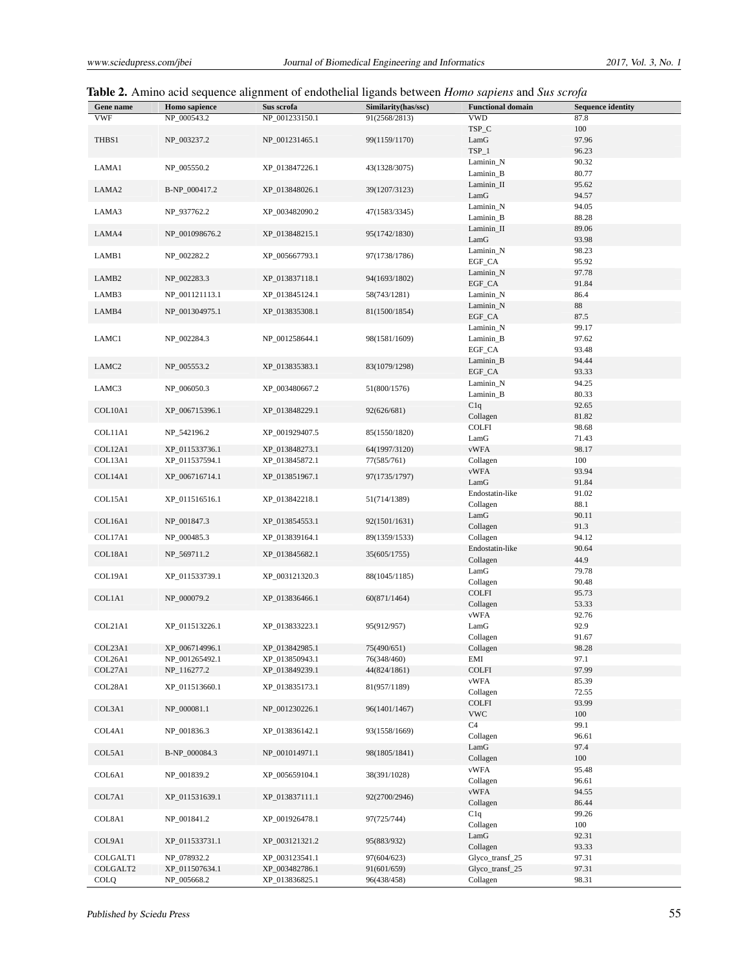|  |  |  |  | Table 2. Amino acid sequence alignment of endothelial ligands between <i>Homo sapiens</i> and Sus scrofa |  |
|--|--|--|--|----------------------------------------------------------------------------------------------------------|--|
|--|--|--|--|----------------------------------------------------------------------------------------------------------|--|

| Gene name         | Homo sapience  | Sus scrofa     | Similarity(has/ssc) | <b>Functional domain</b> | <b>Sequence identity</b> |
|-------------------|----------------|----------------|---------------------|--------------------------|--------------------------|
| <b>VWF</b>        | NP_000543.2    | NP_001233150.1 | 91(2568/2813)       | <b>VWD</b>               | 87.8                     |
|                   |                |                |                     | TSP_C                    | 100                      |
|                   |                |                |                     | LamG                     | 97.96                    |
| THBS1             | NP_003237.2    | NP_001231465.1 | 99(1159/1170)       |                          |                          |
|                   |                |                |                     | $TSP_1$                  | 96.23                    |
| LAMA1             | NP_005550.2    | XP 013847226.1 | 43(1328/3075)       | Laminin_N                | 90.32                    |
|                   |                |                |                     | Laminin B                | 80.77                    |
| LAMA <sub>2</sub> | B-NP_000417.2  | XP_013848026.1 | 39(1207/3123)       | Laminin_II               | 95.62                    |
|                   |                |                |                     | LamG                     | 94.57                    |
| LAMA3             | NP_937762.2    | XP_003482090.2 | 47(1583/3345)       | Laminin_N                | 94.05                    |
|                   |                |                |                     | Laminin_B                | 88.28                    |
|                   |                |                |                     | Laminin_II               | 89.06                    |
| LAMA4             | NP_001098676.2 | XP_013848215.1 | 95(1742/1830)       | LamG                     | 93.98                    |
|                   |                |                |                     | Laminin_N                | 98.23                    |
| LAMB1             | NP_002282.2    | XP_005667793.1 | 97(1738/1786)       | EGF_CA                   | 95.92                    |
|                   |                |                |                     | Laminin_N                | 97.78                    |
| LAMB <sub>2</sub> | NP_002283.3    | XP_013837118.1 | 94(1693/1802)       | EGF_CA                   | 91.84                    |
| LAMB3             | NP_001121113.1 | XP_013845124.1 | 58(743/1281)        | Laminin_N                | 86.4                     |
|                   |                |                |                     | Laminin_N                | 88                       |
| LAMB4             | NP_001304975.1 | XP_013835308.1 | 81(1500/1854)       | EGF_CA                   | 87.5                     |
|                   |                |                |                     |                          |                          |
|                   |                |                |                     | Laminin_N                | 99.17                    |
| LAMC1             | NP_002284.3    | NP 001258644.1 | 98(1581/1609)       | Laminin_B                | 97.62                    |
|                   |                |                |                     | EGF_CA                   | 93.48                    |
| LAMC <sub>2</sub> | NP_005553.2    | XP_013835383.1 | 83(1079/1298)       | Laminin_B                | 94.44                    |
|                   |                |                |                     | EGF_CA                   | 93.33                    |
| LAMC3             | NP_006050.3    | XP_003480667.2 | 51(800/1576)        | Laminin_N                | 94.25                    |
|                   |                |                |                     | Laminin_B                | 80.33                    |
| COL10A1           |                |                |                     | C1q                      | 92.65                    |
|                   | XP_006715396.1 | XP_013848229.1 | 92(626/681)         | Collagen                 | 81.82                    |
|                   |                |                |                     | <b>COLFI</b>             | 98.68                    |
| COL11A1           | NP_542196.2    | XP_001929407.5 | 85(1550/1820)       | LamG                     | 71.43                    |
| COL12A1           | XP_011533736.1 | XP_013848273.1 | 64(1997/3120)       | <b>vWFA</b>              | 98.17                    |
| COL13A1           | XP_011537594.1 | XP_013845872.1 | 77(585/761)         | Collagen                 | 100                      |
|                   |                |                |                     | <b>vWFA</b>              | 93.94                    |
| COL14A1           | XP_006716714.1 | XP_013851967.1 | 97(1735/1797)       | LamG                     | 91.84                    |
|                   |                |                |                     | Endostatin-like          | 91.02                    |
| COL15A1           | XP_011516516.1 | XP_013842218.1 | 51(714/1389)        |                          |                          |
|                   |                |                |                     | Collagen                 | 88.1                     |
| COL16A1           | NP_001847.3    | XP_013854553.1 | 92(1501/1631)       | LamG                     | 90.11                    |
|                   |                |                |                     | Collagen                 | 91.3                     |
| COL17A1           | NP_000485.3    | XP_013839164.1 | 89(1359/1533)       | Collagen                 | 94.12                    |
| COL18A1           | NP_569711.2    | XP_013845682.1 | 35(605/1755)        | Endostatin-like          | 90.64                    |
|                   |                |                |                     | Collagen                 | 44.9                     |
| COL19A1           | XP_011533739.1 | XP 003121320.3 | 88(1045/1185)       | LamG                     | 79.78                    |
|                   |                |                |                     | Collagen                 | 90.48                    |
|                   | NP_000079.2    | XP_013836466.1 | 60(871/1464)        | <b>COLFI</b>             | 95.73                    |
| COL1A1            |                |                |                     | Collagen                 | 53.33                    |
|                   |                |                |                     | vWFA                     | 92.76                    |
| COL21A1           | XP_011513226.1 | XP_013833223.1 | 95(912/957)         | LamG                     | 92.9                     |
|                   |                |                |                     | Collagen                 | 91.67                    |
| COL23A1           | XP_006714996.1 | XP_013842985.1 | 75(490/651)         | Collagen                 | 98.28                    |
| COL26A1           | NP 001265492.1 | XP_013850943.1 | 76(348/460)         | EMI                      | 97.1                     |
| COL27A1           | NP_116277.2    | XP_013849239.1 | 44(824/1861)        | <b>COLFI</b>             | 97.99                    |
|                   |                |                |                     | vWFA                     | 85.39                    |
| COL28A1           | XP_011513660.1 | XP_013835173.1 | 81(957/1189)        | Collagen                 | 72.55                    |
|                   |                |                |                     | <b>COLFI</b>             | 93.99                    |
| COL3A1            | NP_000081.1    | NP 001230226.1 | 96(1401/1467)       | <b>VWC</b>               | 100                      |
|                   |                |                |                     | C4                       | 99.1                     |
| COL4A1            | NP_001836.3    | XP_013836142.1 | 93(1558/1669)       |                          |                          |
|                   |                |                |                     | Collagen                 | 96.61                    |
| COL5A1            | B-NP_000084.3  | NP_001014971.1 | 98(1805/1841)       | LamG                     | 97.4                     |
|                   |                |                |                     | Collagen                 | 100                      |
| COL6A1            | NP_001839.2    | XP_005659104.1 | 38(391/1028)        | vWFA                     | 95.48                    |
|                   |                |                |                     | Collagen                 | 96.61                    |
| COL7A1            | XP_011531639.1 | XP 013837111.1 | 92(2700/2946)       | vWFA                     | 94.55                    |
|                   |                |                |                     | Collagen                 | 86.44                    |
|                   |                |                |                     | C1q                      | 99.26                    |
| COL8A1            | NP_001841.2    | XP_001926478.1 | 97(725/744)         | Collagen                 | 100                      |
|                   |                |                |                     | LamG                     | 92.31                    |
| COL9A1            | XP_011533731.1 | XP_003121321.2 | 95(883/932)         | Collagen                 | 93.33                    |
| COLGALT1          | NP_078932.2    | XP_003123541.1 | 97(604/623)         | Glyco_transf_25          | 97.31                    |
| COLGALT2          | XP_011507634.1 | XP_003482786.1 | 91(601/659)         | Glyco_transf_25          | 97.31                    |
| COLQ              | NP_005668.2    | XP_013836825.1 | 96(438/458)         | Collagen                 | 98.31                    |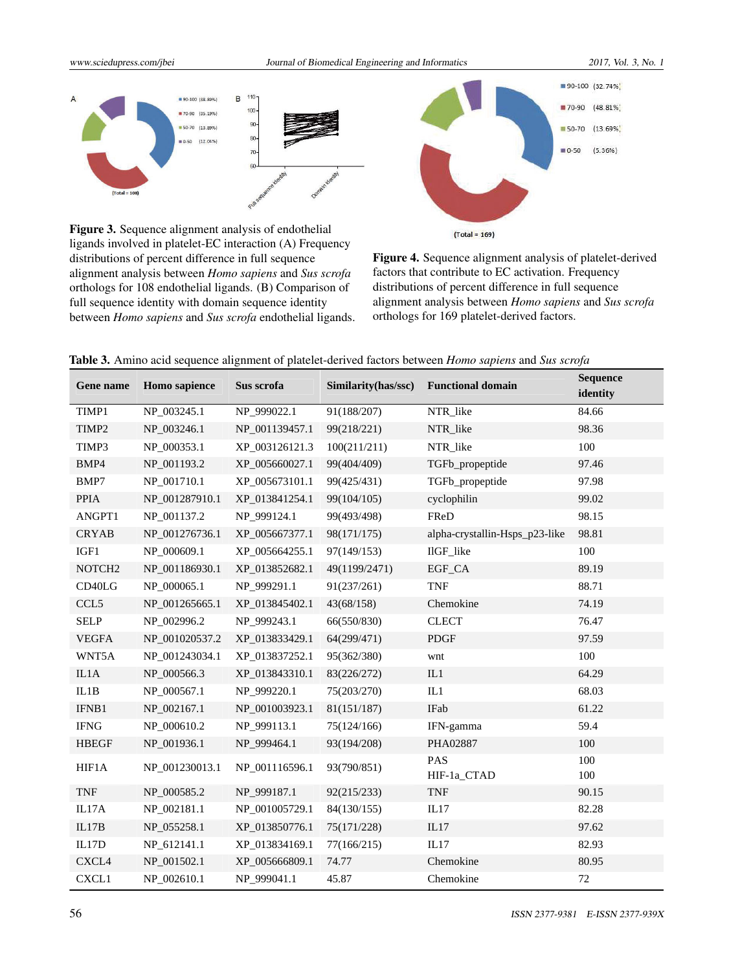

Figure 3. Sequence alignment analysis of endothelial ligands involved in platelet-EC interaction (A) Frequency distributions of percent difference in full sequence alignment analysis between *Homo sapiens* and *Sus scrofa* orthologs for 108 endothelial ligands. (B) Comparison of full sequence identity with domain sequence identity between *Homo sapiens* and *Sus scrofa* endothelial ligands.



Figure 4. Sequence alignment analysis of platelet-derived factors that contribute to EC activation. Frequency distributions of percent difference in full sequence alignment analysis between *Homo sapiens* and *Sus scrofa* orthologs for 169 platelet-derived factors.

| Table 3. Amino acid sequence alignment of platelet-derived factors between <i>Homo sapiens</i> and Sus scrofa |  |  |  |
|---------------------------------------------------------------------------------------------------------------|--|--|--|
|                                                                                                               |  |  |  |

| Gene name                       | Homo sapience  | Sus scrofa     | Similarity(has/ssc) | <b>Functional domain</b>       | <b>Sequence</b><br>identity |
|---------------------------------|----------------|----------------|---------------------|--------------------------------|-----------------------------|
| TIMP1                           | NP_003245.1    | NP_999022.1    | 91(188/207)         | NTR_like                       | 84.66                       |
| TIMP2                           | NP_003246.1    | NP_001139457.1 | 99(218/221)         | NTR_like                       | 98.36                       |
| TIMP3                           | NP 000353.1    | XP_003126121.3 | 100(211/211)        | NTR_like                       | 100                         |
| BMP4                            | NP_001193.2    | XP 005660027.1 | 99(404/409)         | TGFb_propeptide                | 97.46                       |
| BMP7                            | NP_001710.1    | XP 005673101.1 | 99(425/431)         | TGFb_propeptide                | 97.98                       |
| PPIA                            | NP_001287910.1 | XP 013841254.1 | 99(104/105)         | cyclophilin                    | 99.02                       |
| ANGPT1                          | NP_001137.2    | NP 999124.1    | 99(493/498)         | FReD                           | 98.15                       |
| <b>CRYAB</b>                    | NP_001276736.1 | XP 005667377.1 | 98(171/175)         | alpha-crystallin-Hsps_p23-like | 98.81                       |
| IGF1                            | NP_000609.1    | XP_005664255.1 | 97(149/153)         | IlGF_like                      | 100                         |
| NOTCH <sub>2</sub>              | NP_001186930.1 | XP_013852682.1 | 49(1199/2471)       | EGF_CA                         | 89.19                       |
| CD <sub>40</sub> L <sub>G</sub> | NP 000065.1    | NP 999291.1    | 91(237/261)         | <b>TNF</b>                     | 88.71                       |
| CCL <sub>5</sub>                | NP_001265665.1 | XP 013845402.1 | 43(68/158)          | Chemokine                      | 74.19                       |
| <b>SELP</b>                     | NP 002996.2    | NP_999243.1    | 66(550/830)         | <b>CLECT</b>                   | 76.47                       |
| <b>VEGFA</b>                    | NP_001020537.2 | XP_013833429.1 | 64(299/471)         | <b>PDGF</b>                    | 97.59                       |
| WNT5A                           | NP 001243034.1 | XP 013837252.1 | 95(362/380)         | wnt                            | 100                         |
| IL1A                            | NP_000566.3    | XP_013843310.1 | 83(226/272)         | IL1                            | 64.29                       |
| IL1B                            | NP_000567.1    | NP_999220.1    | 75(203/270)         | IL1                            | 68.03                       |
| IFNB1                           | NP 002167.1    | NP 001003923.1 | 81(151/187)         | IFab                           | 61.22                       |
| <b>IFNG</b>                     | NP_000610.2    | NP_999113.1    | 75(124/166)         | IFN-gamma                      | 59.4                        |
| <b>HBEGF</b>                    | NP_001936.1    | NP_999464.1    | 93(194/208)         | PHA02887                       | 100                         |
| HIF1A                           | NP_001230013.1 | NP_001116596.1 | 93(790/851)         | PAS<br>HIF-1a_CTAD             | 100<br>100                  |
| <b>TNF</b>                      | NP_000585.2    | NP_999187.1    | 92(215/233)         | <b>TNF</b>                     | 90.15                       |
| IL17A                           | NP_002181.1    | NP_001005729.1 | 84(130/155)         | IL17                           | 82.28                       |
| IL17B                           | NP_055258.1    | XP_013850776.1 | 75(171/228)         | IL17                           | 97.62                       |
| IL17D                           | NP_612141.1    | XP 013834169.1 | 77(166/215)         | IL17                           | 82.93                       |
| CXCL4                           | NP_001502.1    | XP_005666809.1 | 74.77               | Chemokine                      | 80.95                       |
| CXCL1                           | NP_002610.1    | NP_999041.1    | 45.87               | Chemokine                      | 72                          |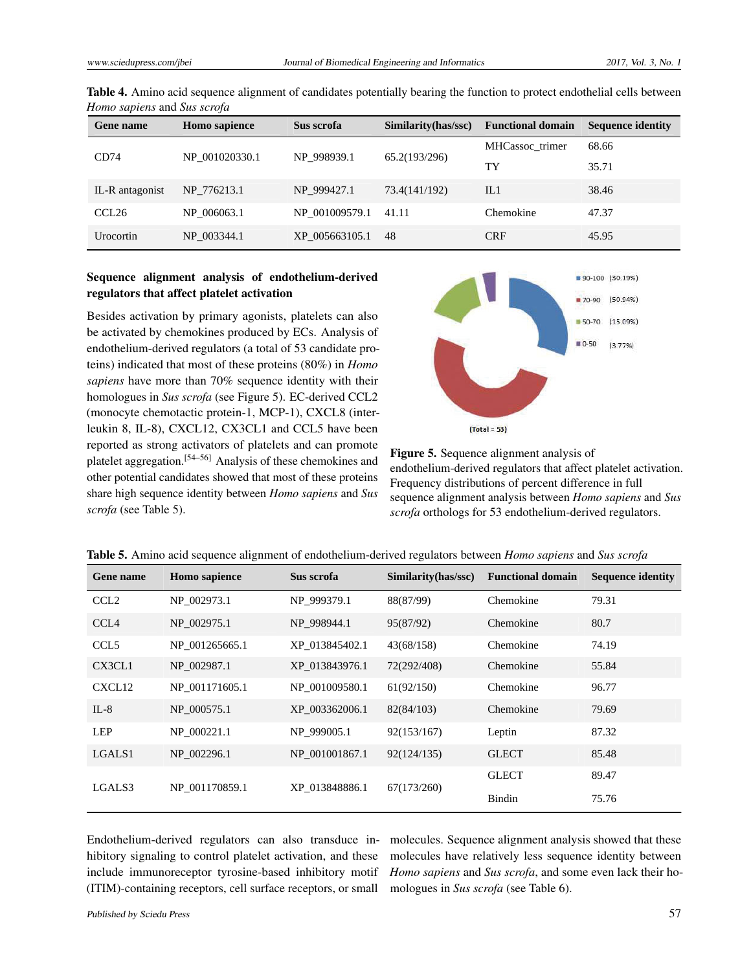| Gene name         | <b>Homo</b> sapience | Sus scrofa     | Similarity(has/ssc) | <b>Functional domain</b> | <b>Sequence identity</b> |
|-------------------|----------------------|----------------|---------------------|--------------------------|--------------------------|
| CD74              | NP 001020330.1       | NP 998939.1    | 65.2(193/296)       | MHCassoc trimer          | 68.66                    |
|                   |                      |                |                     | TY                       | 35.71                    |
| IL-R antagonist   | NP 776213.1          | NP 999427.1    | 73.4(141/192)       | IL1                      | 38.46                    |
| CCL <sub>26</sub> | NP 006063.1          | NP 001009579.1 | 41.11               | Chemokine                | 47.37                    |
| Urocortin         | NP 003344.1          | XP 005663105.1 | -48                 | <b>CRF</b>               | 45.95                    |

Table 4. Amino acid sequence alignment of candidates potentially bearing the function to protect endothelial cells between *Homo sapiens* and *Sus scrofa*

### Sequence alignment analysis of endothelium-derived regulators that affect platelet activation

Besides activation by primary agonists, platelets can also be activated by chemokines produced by ECs. Analysis of endothelium-derived regulators (a total of 53 candidate proteins) indicated that most of these proteins (80%) in *Homo sapiens* have more than 70% sequence identity with their homologues in *Sus scrofa* (see Figure 5). EC-derived CCL2 (monocyte chemotactic protein-1, MCP-1), CXCL8 (interleukin 8, IL-8), CXCL12, CX3CL1 and CCL5 have been reported as strong activators of platelets and can promote platelet aggregation.[\[54–](#page-10-8)[56\]](#page-10-9) Analysis of these chemokines and other potential candidates showed that most of these proteins share high sequence identity between *Homo sapiens* and *Sus scrofa* (see Table 5).



Figure 5. Sequence alignment analysis of endothelium-derived regulators that affect platelet activation. Frequency distributions of percent difference in full sequence alignment analysis between *Homo sapiens* and *Sus scrofa* orthologs for 53 endothelium-derived regulators.

| Gene name          | <b>Homo</b> sapience | Sus scrofa     | Similarity(has/ssc) | <b>Functional domain</b> | <b>Sequence identity</b> |
|--------------------|----------------------|----------------|---------------------|--------------------------|--------------------------|
| CCL <sub>2</sub>   | NP 002973.1          | NP 999379.1    | 88(87/99)           | Chemokine                | 79.31                    |
| CCL <sub>4</sub>   | NP 002975.1          | NP 998944.1    | 95(87/92)           | Chemokine                | 80.7                     |
| CCL <sub>5</sub>   | NP 001265665.1       | XP 013845402.1 | 43(68/158)          | Chemokine                | 74.19                    |
| CX3CL1             | NP 002987.1          | XP 013843976.1 | 72(292/408)         | Chemokine                | 55.84                    |
| CXCL <sub>12</sub> | NP 001171605.1       | NP 001009580.1 | 61(92/150)          | Chemokine                | 96.77                    |
| $IL-8$             | NP 000575.1          | XP 003362006.1 | 82(84/103)          | Chemokine                | 79.69                    |
| <b>LEP</b>         | NP 000221.1          | NP 999005.1    | 92(153/167)         | Leptin                   | 87.32                    |
| LGALS1             | NP 002296.1          | NP 001001867.1 | 92(124/135)         | <b>GLECT</b>             | 85.48                    |
| LGALS3             |                      |                |                     | <b>GLECT</b>             | 89.47                    |
|                    | NP 001170859.1       | XP 013848886.1 | 67(173/260)         | Bindin                   | 75.76                    |

|  |  |  | Table 5. Amino acid sequence alignment of endothelium-derived regulators between <i>Homo sapiens</i> and Sus scrofa |  |  |
|--|--|--|---------------------------------------------------------------------------------------------------------------------|--|--|
|--|--|--|---------------------------------------------------------------------------------------------------------------------|--|--|

Endothelium-derived regulators can also transduce inhibitory signaling to control platelet activation, and these include immunoreceptor tyrosine-based inhibitory motif (ITIM)-containing receptors, cell surface receptors, or small

molecules. Sequence alignment analysis showed that these molecules have relatively less sequence identity between *Homo sapiens* and *Sus scrofa*, and some even lack their homologues in *Sus scrofa* (see Table 6).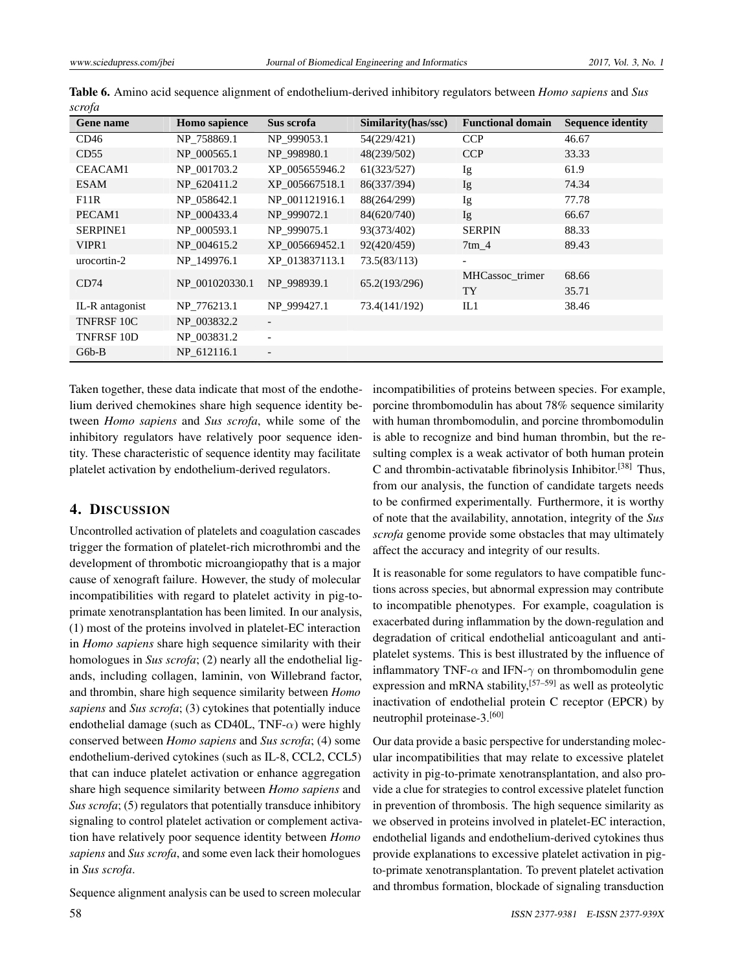| Gene name       | Homo sapience  | Sus scrofa               | Similarity(has/ssc) | <b>Functional domain</b> | <b>Sequence identity</b> |
|-----------------|----------------|--------------------------|---------------------|--------------------------|--------------------------|
| CD46            | NP 758869.1    | NP 999053.1              | 54(229/421)         | <b>CCP</b>               | 46.67                    |
| CD55            | NP 000565.1    | NP 998980.1              | 48(239/502)         | <b>CCP</b>               | 33.33                    |
| <b>CEACAM1</b>  | NP 001703.2    | XP_005655946.2           | 61(323/527)         | Ig                       | 61.9                     |
| <b>ESAM</b>     | NP 620411.2    | XP 005667518.1           | 86(337/394)         | Ig                       | 74.34                    |
| F11R            | NP 058642.1    | NP 001121916.1           | 88(264/299)         | Ig                       | 77.78                    |
| PECAM1          | NP 000433.4    | NP 999072.1              | 84(620/740)         | Ig                       | 66.67                    |
| <b>SERPINE1</b> | NP 000593.1    | NP 999075.1              | 93(373/402)         | <b>SERPIN</b>            | 88.33                    |
| VIPR1           | NP 004615.2    | XP 005669452.1           | 92(420/459)         | $7 \text{tm}$ 4          | 89.43                    |
| urocortin-2     | NP 149976.1    | XP 013837113.1           | 73.5(83/113)        | $\overline{\phantom{0}}$ |                          |
| CD74            | NP 001020330.1 | NP 998939.1              | 65.2(193/296)       | MHCassoc trimer          | 68.66                    |
|                 |                |                          |                     | <b>TY</b>                | 35.71                    |
| IL-R antagonist | NP 776213.1    | NP 999427.1              | 73.4(141/192)       | IL1                      | 38.46                    |
| TNFRSF 10C      | NP_003832.2    | $\overline{\phantom{a}}$ |                     |                          |                          |
| TNFRSF 10D      | NP 003831.2    | $\overline{\phantom{a}}$ |                     |                          |                          |
| $G6b-B$         | NP 612116.1    |                          |                     |                          |                          |

Table 6. Amino acid sequence alignment of endothelium-derived inhibitory regulators between *Homo sapiens* and *Sus scrofa*

Taken together, these data indicate that most of the endothelium derived chemokines share high sequence identity between *Homo sapiens* and *Sus scrofa*, while some of the inhibitory regulators have relatively poor sequence identity. These characteristic of sequence identity may facilitate platelet activation by endothelium-derived regulators.

# 4. DISCUSSION

Uncontrolled activation of platelets and coagulation cascades trigger the formation of platelet-rich microthrombi and the development of thrombotic microangiopathy that is a major cause of xenograft failure. However, the study of molecular incompatibilities with regard to platelet activity in pig-toprimate xenotransplantation has been limited. In our analysis, (1) most of the proteins involved in platelet-EC interaction in *Homo sapiens* share high sequence similarity with their homologues in *Sus scrofa*; (2) nearly all the endothelial ligands, including collagen, laminin, von Willebrand factor, and thrombin, share high sequence similarity between *Homo sapiens* and *Sus scrofa*; (3) cytokines that potentially induce endothelial damage (such as CD40L, TNF-*α*) were highly conserved between *Homo sapiens* and *Sus scrofa*; (4) some endothelium-derived cytokines (such as IL-8, CCL2, CCL5) that can induce platelet activation or enhance aggregation share high sequence similarity between *Homo sapiens* and *Sus scrofa*; (5) regulators that potentially transduce inhibitory signaling to control platelet activation or complement activation have relatively poor sequence identity between *Homo sapiens* and *Sus scrofa*, and some even lack their homologues in *Sus scrofa*.

Sequence alignment analysis can be used to screen molecular

incompatibilities of proteins between species. For example, porcine thrombomodulin has about 78% sequence similarity with human thrombomodulin, and porcine thrombomodulin is able to recognize and bind human thrombin, but the resulting complex is a weak activator of both human protein C and thrombin-activatable fibrinolysis Inhibitor.<sup>[\[38\]](#page-9-20)</sup> Thus, from our analysis, the function of candidate targets needs to be confirmed experimentally. Furthermore, it is worthy of note that the availability, annotation, integrity of the *Sus scrofa* genome provide some obstacles that may ultimately affect the accuracy and integrity of our results.

It is reasonable for some regulators to have compatible functions across species, but abnormal expression may contribute to incompatible phenotypes. For example, coagulation is exacerbated during inflammation by the down-regulation and degradation of critical endothelial anticoagulant and antiplatelet systems. This is best illustrated by the influence of inflammatory TNF- $\alpha$  and IFN- $\gamma$  on thrombomodulin gene expression and mRNA stability,<sup>[\[57](#page-10-10)[–59\]](#page-10-11)</sup> as well as proteolytic inactivation of endothelial protein C receptor (EPCR) by neutrophil proteinase-3.[\[60\]](#page-10-12)

Our data provide a basic perspective for understanding molecular incompatibilities that may relate to excessive platelet activity in pig-to-primate xenotransplantation, and also provide a clue for strategies to control excessive platelet function in prevention of thrombosis. The high sequence similarity as we observed in proteins involved in platelet-EC interaction, endothelial ligands and endothelium-derived cytokines thus provide explanations to excessive platelet activation in pigto-primate xenotransplantation. To prevent platelet activation and thrombus formation, blockade of signaling transduction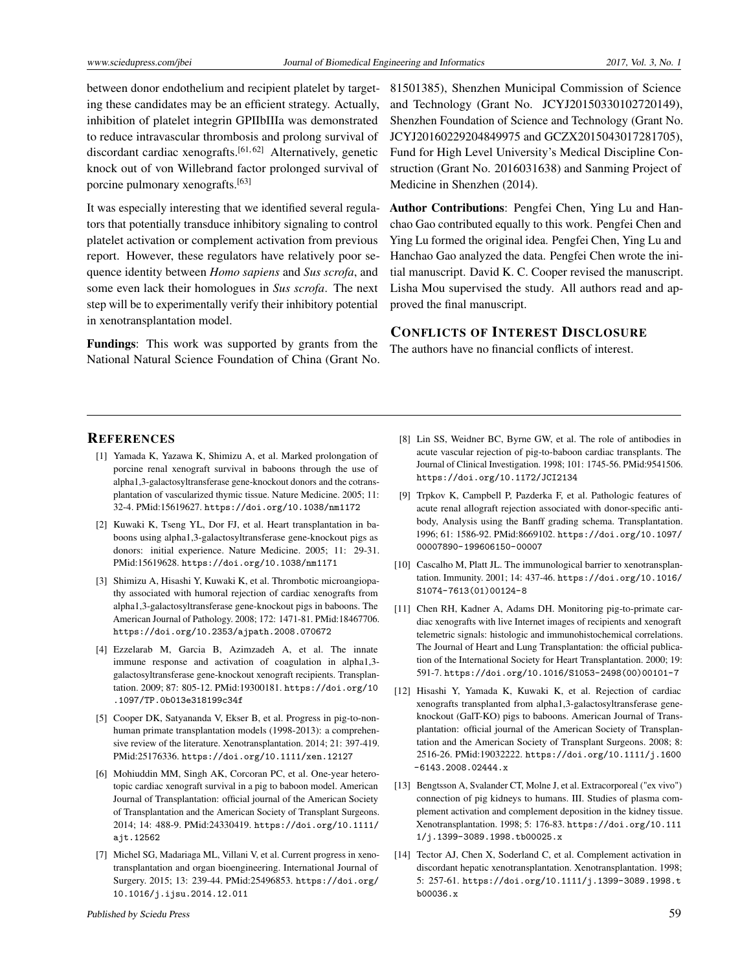between donor endothelium and recipient platelet by targeting these candidates may be an efficient strategy. Actually, inhibition of platelet integrin GPIIbIIIa was demonstrated to reduce intravascular thrombosis and prolong survival of discordant cardiac xenografts.<sup>[\[61,](#page-10-13)[62\]](#page-10-14)</sup> Alternatively, genetic knock out of von Willebrand factor prolonged survival of porcine pulmonary xenografts.[\[63\]](#page-10-15)

It was especially interesting that we identified several regulators that potentially transduce inhibitory signaling to control platelet activation or complement activation from previous report. However, these regulators have relatively poor sequence identity between *Homo sapiens* and *Sus scrofa*, and some even lack their homologues in *Sus scrofa*. The next step will be to experimentally verify their inhibitory potential in xenotransplantation model.

Fundings: This work was supported by grants from the National Natural Science Foundation of China (Grant No. 81501385), Shenzhen Municipal Commission of Science and Technology (Grant No. JCYJ20150330102720149), Shenzhen Foundation of Science and Technology (Grant No. JCYJ20160229204849975 and GCZX2015043017281705), Fund for High Level University's Medical Discipline Construction (Grant No. 2016031638) and Sanming Project of Medicine in Shenzhen (2014).

Author Contributions: Pengfei Chen, Ying Lu and Hanchao Gao contributed equally to this work. Pengfei Chen and Ying Lu formed the original idea. Pengfei Chen, Ying Lu and Hanchao Gao analyzed the data. Pengfei Chen wrote the initial manuscript. David K. C. Cooper revised the manuscript. Lisha Mou supervised the study. All authors read and approved the final manuscript.

#### CONFLICTS OF INTEREST DISCLOSURE

The authors have no financial conflicts of interest.

#### **REFERENCES**

- <span id="page-8-0"></span>[1] Yamada K, Yazawa K, Shimizu A, et al. Marked prolongation of porcine renal xenograft survival in baboons through the use of alpha1,3-galactosyltransferase gene-knockout donors and the cotransplantation of vascularized thymic tissue. Nature Medicine. 2005; 11: 32-4. PMid:15619627. <https://doi.org/10.1038/nm1172>
- [2] Kuwaki K, Tseng YL, Dor FJ, et al. Heart transplantation in baboons using alpha1,3-galactosyltransferase gene-knockout pigs as donors: initial experience. Nature Medicine. 2005; 11: 29-31. PMid:15619628. <https://doi.org/10.1038/nm1171>
- [3] Shimizu A, Hisashi Y, Kuwaki K, et al. Thrombotic microangiopathy associated with humoral rejection of cardiac xenografts from alpha1,3-galactosyltransferase gene-knockout pigs in baboons. The American Journal of Pathology. 2008; 172: 1471-81. PMid:18467706. <https://doi.org/10.2353/ajpath.2008.070672>
- <span id="page-8-5"></span>[4] Ezzelarab M, Garcia B, Azimzadeh A, et al. The innate immune response and activation of coagulation in alpha1,3 galactosyltransferase gene-knockout xenograft recipients. Transplantation. 2009; 87: 805-12. PMid:19300181. [https://doi.org/10](https://doi.org/10.1097/TP.0b013e318199c34f) [.1097/TP.0b013e318199c34f](https://doi.org/10.1097/TP.0b013e318199c34f)
- [5] Cooper DK, Satyananda V, Ekser B, et al. Progress in pig-to-nonhuman primate transplantation models (1998-2013): a comprehensive review of the literature. Xenotransplantation. 2014; 21: 397-419. PMid:25176336. <https://doi.org/10.1111/xen.12127>
- [6] Mohiuddin MM, Singh AK, Corcoran PC, et al. One-year heterotopic cardiac xenograft survival in a pig to baboon model. American Journal of Transplantation: official journal of the American Society of Transplantation and the American Society of Transplant Surgeons. 2014; 14: 488-9. PMid:24330419. [https://doi.org/10.1111/](https://doi.org/10.1111/ajt.12562) [ajt.12562](https://doi.org/10.1111/ajt.12562)
- <span id="page-8-1"></span>[7] Michel SG, Madariaga ML, Villani V, et al. Current progress in xenotransplantation and organ bioengineering. International Journal of Surgery. 2015; 13: 239-44. PMid:25496853. [https://doi.org/](https://doi.org/10.1016/j.ijsu.2014.12.011) [10.1016/j.ijsu.2014.12.011](https://doi.org/10.1016/j.ijsu.2014.12.011)
- <span id="page-8-2"></span>[8] Lin SS, Weidner BC, Byrne GW, et al. The role of antibodies in acute vascular rejection of pig-to-baboon cardiac transplants. The Journal of Clinical Investigation. 1998; 101: 1745-56. PMid:9541506. <https://doi.org/10.1172/JCI2134>
- [9] Trpkov K, Campbell P, Pazderka F, et al. Pathologic features of acute renal allograft rejection associated with donor-specific antibody, Analysis using the Banff grading schema. Transplantation. 1996; 61: 1586-92. PMid:8669102. [https://doi.org/10.1097/](https://doi.org/10.1097/00007890-199606150-00007) [00007890-199606150-00007](https://doi.org/10.1097/00007890-199606150-00007)
- [10] Cascalho M, Platt JL. The immunological barrier to xenotransplantation. Immunity. 2001; 14: 437-46. [https://doi.org/10.1016/](https://doi.org/10.1016/S1074-7613(01)00124-8) [S1074-7613\(01\)00124-8](https://doi.org/10.1016/S1074-7613(01)00124-8)
- [11] Chen RH, Kadner A, Adams DH. Monitoring pig-to-primate cardiac xenografts with live Internet images of recipients and xenograft telemetric signals: histologic and immunohistochemical correlations. The Journal of Heart and Lung Transplantation: the official publication of the International Society for Heart Transplantation. 2000; 19: 591-7. [https://doi.org/10.1016/S1053-2498\(00\)00101-7](https://doi.org/10.1016/S1053-2498(00)00101-7)
- <span id="page-8-3"></span>[12] Hisashi Y, Yamada K, Kuwaki K, et al. Rejection of cardiac xenografts transplanted from alpha1,3-galactosyltransferase geneknockout (GalT-KO) pigs to baboons. American Journal of Transplantation: official journal of the American Society of Transplantation and the American Society of Transplant Surgeons. 2008; 8: 2516-26. PMid:19032222. [https://doi.org/10.1111/j.1600](https://doi.org/10.1111/j.1600-6143.2008.02444.x) [-6143.2008.02444.x](https://doi.org/10.1111/j.1600-6143.2008.02444.x)
- <span id="page-8-4"></span>[13] Bengtsson A, Svalander CT, Molne J, et al. Extracorporeal ("ex vivo") connection of pig kidneys to humans. III. Studies of plasma complement activation and complement deposition in the kidney tissue. Xenotransplantation. 1998; 5: 176-83. [https://doi.org/10.111](https://doi.org/10.1111/j.1399-3089.1998.tb00025.x) [1/j.1399-3089.1998.tb00025.x](https://doi.org/10.1111/j.1399-3089.1998.tb00025.x)
- [14] Tector AJ, Chen X, Soderland C, et al. Complement activation in discordant hepatic xenotransplantation. Xenotransplantation. 1998; 5: 257-61. [https://doi.org/10.1111/j.1399-3089.1998.t](https://doi.org/10.1111/j.1399-3089.1998.tb00036.x) [b00036.x](https://doi.org/10.1111/j.1399-3089.1998.tb00036.x)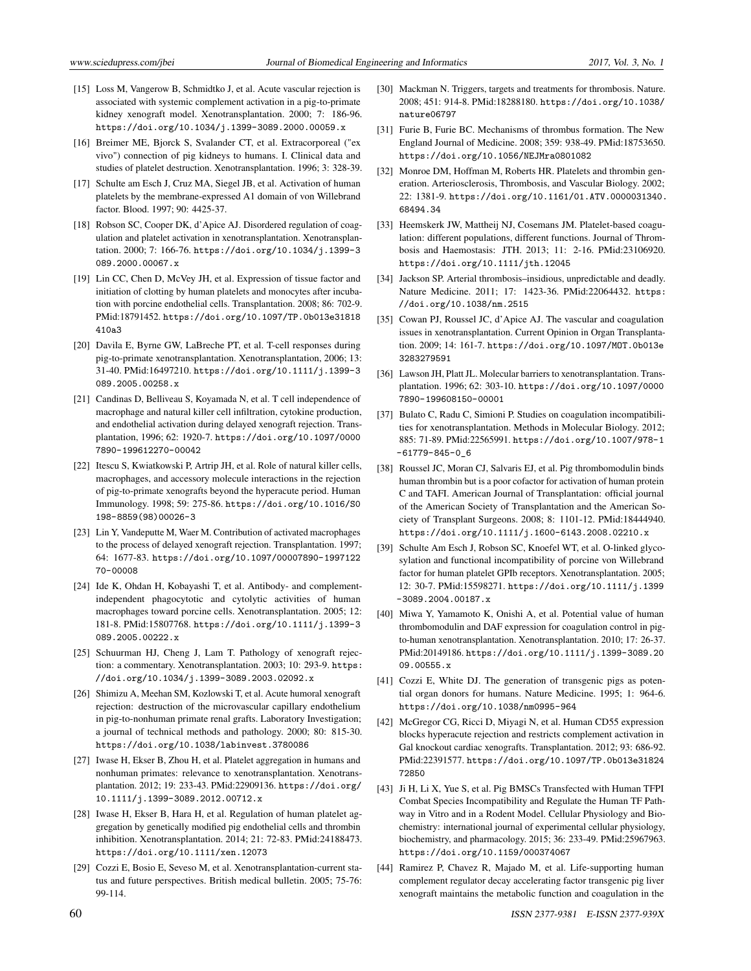- <span id="page-9-0"></span>[15] Loss M, Vangerow B, Schmidtko J, et al. Acute vascular rejection is associated with systemic complement activation in a pig-to-primate kidney xenograft model. Xenotransplantation. 2000; 7: 186-96. <https://doi.org/10.1034/j.1399-3089.2000.00059.x>
- <span id="page-9-1"></span>[16] Breimer ME, Bjorck S, Svalander CT, et al. Extracorporeal ("ex vivo") connection of pig kidneys to humans. I. Clinical data and studies of platelet destruction. Xenotransplantation. 1996; 3: 328-39.
- [17] Schulte am Esch J, Cruz MA, Siegel JB, et al. Activation of human platelets by the membrane-expressed A1 domain of von Willebrand factor. Blood. 1997; 90: 4425-37.
- [18] Robson SC, Cooper DK, d'Apice AJ. Disordered regulation of coagulation and platelet activation in xenotransplantation. Xenotransplantation. 2000; 7: 166-76. [https://doi.org/10.1034/j.1399-3](https://doi.org/10.1034/j.1399-3089.2000.00067.x) [089.2000.00067.x](https://doi.org/10.1034/j.1399-3089.2000.00067.x)
- <span id="page-9-2"></span>[19] Lin CC, Chen D, McVey JH, et al. Expression of tissue factor and initiation of clotting by human platelets and monocytes after incubation with porcine endothelial cells. Transplantation. 2008; 86: 702-9. PMid:18791452. [https://doi.org/10.1097/TP.0b013e31818](https://doi.org/10.1097/TP.0b013e31818410a3) [410a3](https://doi.org/10.1097/TP.0b013e31818410a3)
- <span id="page-9-3"></span>[20] Davila E, Byrne GW, LaBreche PT, et al. T-cell responses during pig-to-primate xenotransplantation. Xenotransplantation, 2006; 13: 31-40. PMid:16497210. [https://doi.org/10.1111/j.1399-3](https://doi.org/10.1111/j.1399-3089.2005.00258.x) [089.2005.00258.x](https://doi.org/10.1111/j.1399-3089.2005.00258.x)
- <span id="page-9-4"></span>[21] Candinas D, Belliveau S, Koyamada N, et al. T cell independence of macrophage and natural killer cell infiltration, cytokine production, and endothelial activation during delayed xenograft rejection. Transplantation, 1996; 62: 1920-7. [https://doi.org/10.1097/0000](https://doi.org/10.1097/00007890-199612270-00042) [7890-199612270-00042](https://doi.org/10.1097/00007890-199612270-00042)
- <span id="page-9-5"></span>[22] Itescu S, Kwiatkowski P, Artrip JH, et al. Role of natural killer cells, macrophages, and accessory molecule interactions in the rejection of pig-to-primate xenografts beyond the hyperacute period. Human Immunology. 1998; 59: 275-86. [https://doi.org/10.1016/S0](https://doi.org/10.1016/S0198-8859(98)00026-3) [198-8859\(98\)00026-3](https://doi.org/10.1016/S0198-8859(98)00026-3)
- <span id="page-9-6"></span>[23] Lin Y, Vandeputte M, Waer M. Contribution of activated macrophages to the process of delayed xenograft rejection. Transplantation. 1997; 64: 1677-83. [https://doi.org/10.1097/00007890-1997122](https://doi.org/10.1097/00007890-199712270-00008) [70-00008](https://doi.org/10.1097/00007890-199712270-00008)
- <span id="page-9-7"></span>[24] Ide K, Ohdan H, Kobayashi T, et al. Antibody- and complementindependent phagocytotic and cytolytic activities of human macrophages toward porcine cells. Xenotransplantation. 2005; 12: 181-8. PMid:15807768. [https://doi.org/10.1111/j.1399-3](https://doi.org/10.1111/j.1399-3089.2005.00222.x) [089.2005.00222.x](https://doi.org/10.1111/j.1399-3089.2005.00222.x)
- <span id="page-9-8"></span>[25] Schuurman HJ, Cheng J, Lam T. Pathology of xenograft rejection: a commentary. Xenotransplantation. 2003; 10: 293-9. [https:](https://doi.org/10.1034/j.1399-3089.2003.02092.x) [//doi.org/10.1034/j.1399-3089.2003.02092.x](https://doi.org/10.1034/j.1399-3089.2003.02092.x)
- <span id="page-9-9"></span>[26] Shimizu A, Meehan SM, Kozlowski T, et al. Acute humoral xenograft rejection: destruction of the microvascular capillary endothelium in pig-to-nonhuman primate renal grafts. Laboratory Investigation; a journal of technical methods and pathology. 2000; 80: 815-30. <https://doi.org/10.1038/labinvest.3780086>
- <span id="page-9-10"></span>[27] Iwase H, Ekser B, Zhou H, et al. Platelet aggregation in humans and nonhuman primates: relevance to xenotransplantation. Xenotransplantation. 2012; 19: 233-43. PMid:22909136. [https://doi.org/](https://doi.org/10.1111/j.1399-3089.2012.00712.x) [10.1111/j.1399-3089.2012.00712.x](https://doi.org/10.1111/j.1399-3089.2012.00712.x)
- <span id="page-9-11"></span>[28] Iwase H, Ekser B, Hara H, et al. Regulation of human platelet aggregation by genetically modified pig endothelial cells and thrombin inhibition. Xenotransplantation. 2014; 21: 72-83. PMid:24188473. <https://doi.org/10.1111/xen.12073>
- <span id="page-9-12"></span>[29] Cozzi E, Bosio E, Seveso M, et al. Xenotransplantation-current status and future perspectives. British medical bulletin. 2005; 75-76: 99-114.
- <span id="page-9-13"></span>[30] Mackman N. Triggers, targets and treatments for thrombosis. Nature. 2008; 451: 914-8. PMid:18288180. [https://doi.org/10.1038/](https://doi.org/10.1038/nature06797) [nature06797](https://doi.org/10.1038/nature06797)
- <span id="page-9-14"></span>[31] Furie B, Furie BC. Mechanisms of thrombus formation. The New England Journal of Medicine. 2008; 359: 938-49. PMid:18753650. <https://doi.org/10.1056/NEJMra0801082>
- <span id="page-9-15"></span>[32] Monroe DM, Hoffman M, Roberts HR. Platelets and thrombin generation. Arteriosclerosis, Thrombosis, and Vascular Biology. 2002; 22: 1381-9. [https://doi.org/10.1161/01.ATV.0000031340.](https://doi.org/10.1161/01.ATV.0000031340.68494.34) [68494.34](https://doi.org/10.1161/01.ATV.0000031340.68494.34)
- [33] Heemskerk JW, Mattheij NJ, Cosemans JM. Platelet-based coagulation: different populations, different functions. Journal of Thrombosis and Haemostasis: JTH. 2013; 11: 2-16. PMid:23106920. <https://doi.org/10.1111/jth.12045>
- <span id="page-9-16"></span>[34] Jackson SP. Arterial thrombosis-insidious, unpredictable and deadly. Nature Medicine. 2011; 17: 1423-36. PMid:22064432. [https:](https://doi.org/10.1038/nm.2515) [//doi.org/10.1038/nm.2515](https://doi.org/10.1038/nm.2515)
- <span id="page-9-17"></span>[35] Cowan PJ, Roussel JC, d'Apice AJ. The vascular and coagulation issues in xenotransplantation. Current Opinion in Organ Transplantation. 2009; 14: 161-7. [https://doi.org/10.1097/MOT.0b013e](https://doi.org/10.1097/MOT.0b013e3283279591) [3283279591](https://doi.org/10.1097/MOT.0b013e3283279591)
- <span id="page-9-18"></span>[36] Lawson JH, Platt JL. Molecular barriers to xenotransplantation. Transplantation. 1996; 62: 303-10. [https://doi.org/10.1097/0000](https://doi.org/10.1097/00007890-199608150-00001) [7890-199608150-00001](https://doi.org/10.1097/00007890-199608150-00001)
- <span id="page-9-19"></span>[37] Bulato C, Radu C, Simioni P. Studies on coagulation incompatibilities for xenotransplantation. Methods in Molecular Biology. 2012; 885: 71-89. PMid:22565991. [https://doi.org/10.1007/978-1](https://doi.org/10.1007/978-1-61779-845-0_6) [-61779-845-0\\_6](https://doi.org/10.1007/978-1-61779-845-0_6)
- <span id="page-9-20"></span>[38] Roussel JC, Moran CJ, Salvaris EJ, et al. Pig thrombomodulin binds human thrombin but is a poor cofactor for activation of human protein C and TAFI. American Journal of Transplantation: official journal of the American Society of Transplantation and the American Society of Transplant Surgeons. 2008; 8: 1101-12. PMid:18444940. <https://doi.org/10.1111/j.1600-6143.2008.02210.x>
- <span id="page-9-21"></span>[39] Schulte Am Esch J, Robson SC, Knoefel WT, et al. O-linked glycosylation and functional incompatibility of porcine von Willebrand factor for human platelet GPIb receptors. Xenotransplantation. 2005; 12: 30-7. PMid:15598271. [https://doi.org/10.1111/j.1399](https://doi.org/10.1111/j.1399-3089.2004.00187.x) [-3089.2004.00187.x](https://doi.org/10.1111/j.1399-3089.2004.00187.x)
- <span id="page-9-22"></span>[40] Miwa Y, Yamamoto K, Onishi A, et al. Potential value of human thrombomodulin and DAF expression for coagulation control in pigto-human xenotransplantation. Xenotransplantation. 2010; 17: 26-37. PMid:20149186. [https://doi.org/10.1111/j.1399-3089.20](https://doi.org/10.1111/j.1399-3089.2009.00555.x) [09.00555.x](https://doi.org/10.1111/j.1399-3089.2009.00555.x)
- [41] Cozzi E, White DJ. The generation of transgenic pigs as potential organ donors for humans. Nature Medicine. 1995; 1: 964-6. <https://doi.org/10.1038/nm0995-964>
- <span id="page-9-23"></span>[42] McGregor CG, Ricci D, Miyagi N, et al. Human CD55 expression blocks hyperacute rejection and restricts complement activation in Gal knockout cardiac xenografts. Transplantation. 2012; 93: 686-92. PMid:22391577. [https://doi.org/10.1097/TP.0b013e31824](https://doi.org/10.1097/TP.0b013e3182472850) [72850](https://doi.org/10.1097/TP.0b013e3182472850)
- <span id="page-9-24"></span>[43] Ji H, Li X, Yue S, et al. Pig BMSCs Transfected with Human TFPI Combat Species Incompatibility and Regulate the Human TF Pathway in Vitro and in a Rodent Model. Cellular Physiology and Biochemistry: international journal of experimental cellular physiology, biochemistry, and pharmacology. 2015; 36: 233-49. PMid:25967963. <https://doi.org/10.1159/000374067>
- [44] Ramirez P, Chavez R, Majado M, et al. Life-supporting human complement regulator decay accelerating factor transgenic pig liver xenograft maintains the metabolic function and coagulation in the